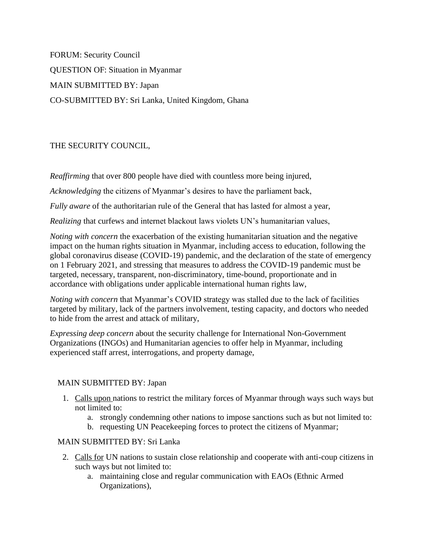FORUM: Security Council QUESTION OF: Situation in Myanmar MAIN SUBMITTED BY: Japan CO-SUBMITTED BY: Sri Lanka, United Kingdom, Ghana

# THE SECURITY COUNCIL,

*Reaffirming* that over 800 people have died with countless more being injured,

*Acknowledging* the citizens of Myanmar's desires to have the parliament back,

*Fully aware* of the authoritarian rule of the General that has lasted for almost a year,

*Realizing* that curfews and internet blackout laws violets UN's humanitarian values,

*Noting with concern* the exacerbation of the existing humanitarian situation and the negative impact on the human rights situation in Myanmar, including access to education, following the global coronavirus disease (COVID-19) pandemic, and the declaration of the state of emergency on 1 February 2021, and stressing that measures to address the COVID-19 pandemic must be targeted, necessary, transparent, non-discriminatory, time-bound, proportionate and in accordance with obligations under applicable international human rights law,

*Noting with concern* that Myanmar's COVID strategy was stalled due to the lack of facilities targeted by military, lack of the partners involvement, testing capacity, and doctors who needed to hide from the arrest and attack of military,

*Expressing deep concern* about the security challenge for International Non-Government Organizations (INGOs) and Humanitarian agencies to offer help in Myanmar, including experienced staff arrest, interrogations, and property damage,

# MAIN SUBMITTED BY: Japan

- 1. Calls upon nations to restrict the military forces of Myanmar through ways such ways but not limited to:
	- a. strongly condemning other nations to impose sanctions such as but not limited to:
	- b. requesting UN Peacekeeping forces to protect the citizens of Myanmar;

#### MAIN SUBMITTED BY: Sri Lanka

- 2. Calls for UN nations to sustain close relationship and cooperate with anti-coup citizens in such ways but not limited to:
	- a. maintaining close and regular communication with EAOs (Ethnic Armed Organizations),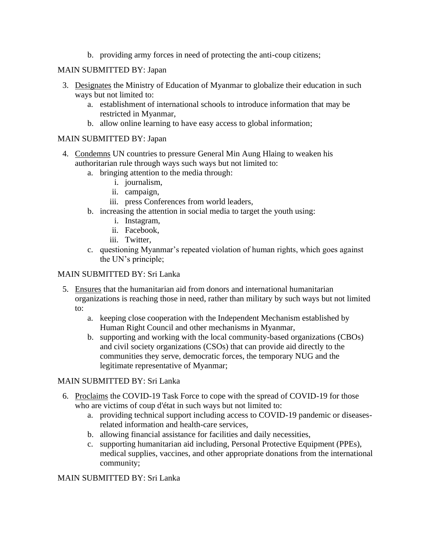b. providing army forces in need of protecting the anti-coup citizens;

### MAIN SUBMITTED BY: Japan

- 3. Designates the Ministry of Education of Myanmar to globalize their education in such ways but not limited to:
	- a. establishment of international schools to introduce information that may be restricted in Myanmar,
	- b. allow online learning to have easy access to global information;

### MAIN SUBMITTED BY: Japan

- 4. Condemns UN countries to pressure General Min Aung Hlaing to weaken his authoritarian rule through ways such ways but not limited to:
	- a. bringing attention to the media through:
		- i. journalism,
		- ii. campaign,
		- iii. press Conferences from world leaders,
	- b. increasing the attention in social media to target the youth using:
		- i. Instagram,
		- ii. Facebook,
		- iii. Twitter,
	- c. questioning Myanmar's repeated violation of human rights, which goes against the UN's principle;

## MAIN SUBMITTED BY: Sri Lanka

- 5. Ensures that the humanitarian aid from donors and international humanitarian organizations is reaching those in need, rather than military by such ways but not limited to:
	- a. keeping close cooperation with the Independent Mechanism established by Human Right Council and other mechanisms in Myanmar,
	- b. supporting and working with the local community-based organizations (CBOs) and civil society organizations (CSOs) that can provide aid directly to the communities they serve, democratic forces, the temporary NUG and the legitimate representative of Myanmar;

# MAIN SUBMITTED BY: Sri Lanka

- 6. Proclaims the COVID-19 Task Force to cope with the spread of COVID-19 for those who are victims of coup d'état in such ways but not limited to:
	- a. providing technical support including access to COVID-19 pandemic or diseasesrelated information and health-care services,
	- b. allowing financial assistance for facilities and daily necessities,
	- c. supporting humanitarian aid including, Personal Protective Equipment (PPEs), medical supplies, vaccines, and other appropriate donations from the international community;

#### MAIN SUBMITTED BY: Sri Lanka